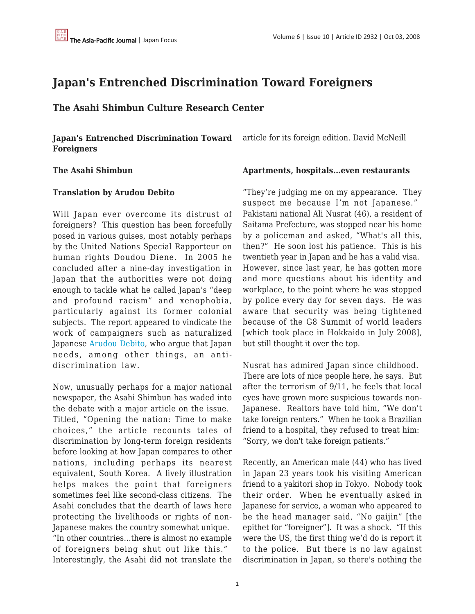## **Japan's Entrenched Discrimination Toward Foreigners**

**The Asahi Shimbun Culture Research Center**

**Japan's Entrenched Discrimination Toward Foreigners**

# **Translation by Arudou Debito**

**The Asahi Shimbun**

Will Japan ever overcome its distrust of foreigners? This question has been forcefully posed in various guises, most notably perhaps by the United Nations Special Rapporteur on human rights Doudou Diene. In 2005 he concluded after a nine-day investigation in Japan that the authorities were not doing enough to tackle what he called Japan's "deep and profound racism" and xenophobia, particularly against its former colonial subjects. The report appeared to vindicate the work of campaigners such as naturalized Japanese [Arudou Debito,](http://japanfocus.org/_Arudou_Debito-Japan_s_Future_as_an_International__Multicultural_Society__From_Migrants_to_Immigrants) who argue that Japan needs, among other things, an antidiscrimination law.

Now, unusually perhaps for a major national newspaper, the Asahi Shimbun has waded into the debate with a major article on the issue. Titled, "Opening the nation: Time to make choices," the article recounts tales of discrimination by long-term foreign residents before looking at how Japan compares to other nations, including perhaps its nearest equivalent, South Korea. A lively illustration helps makes the point that foreigners sometimes feel like second-class citizens. The Asahi concludes that the dearth of laws here protecting the livelihoods or rights of non-Japanese makes the country somewhat unique. "In other countries…there is almost no example of foreigners being shut out like this." Interestingly, the Asahi did not translate the article for its foreign edition. David McNeill

#### **Apartments, hospitals...even restaurants**

"They're judging me on my appearance. They suspect me because I'm not Japanese." Pakistani national Ali Nusrat (46), a resident of Saitama Prefecture, was stopped near his home by a policeman and asked, "What's all this, then?" He soon lost his patience. This is his twentieth year in Japan and he has a valid visa. However, since last year, he has gotten more and more questions about his identity and workplace, to the point where he was stopped by police every day for seven days. He was aware that security was being tightened because of the G8 Summit of world leaders [which took place in Hokkaido in July 2008], but still thought it over the top.

Nusrat has admired Japan since childhood. There are lots of nice people here, he says. But after the terrorism of 9/11, he feels that local eyes have grown more suspicious towards non-Japanese. Realtors have told him, "We don't take foreign renters." When he took a Brazilian friend to a hospital, they refused to treat him: "Sorry, we don't take foreign patients."

Recently, an American male (44) who has lived in Japan 23 years took his visiting American friend to a yakitori shop in Tokyo. Nobody took their order. When he eventually asked in Japanese for service, a woman who appeared to be the head manager said, "No gaijin" [the epithet for "foreigner"]. It was a shock. "If this were the US, the first thing we'd do is report it to the police. But there is no law against discrimination in Japan, so there's nothing the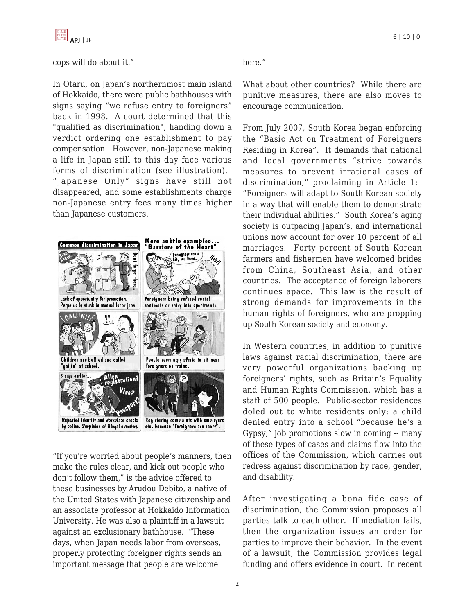

#### cops will do about it."

In Otaru, on Japan's northernmost main island of Hokkaido, there were public bathhouses with signs saying "we refuse entry to foreigners" back in 1998. A court determined that this "qualified as discrimination", handing down a verdict ordering one establishment to pay compensation. However, non-Japanese making a life in Japan still to this day face various forms of discrimination (see illustration). "Japanese Only" signs have still not disappeared, and some establishments charge non-Japanese entry fees many times higher than Japanese customers.



"If you're worried about people's manners, then make the rules clear, and kick out people who don't follow them," is the advice offered to these businesses by Arudou Debito, a native of the United States with Japanese citizenship and an associate professor at Hokkaido Information University. He was also a plaintiff in a lawsuit against an exclusionary bathhouse. "These days, when Japan needs labor from overseas, properly protecting foreigner rights sends an important message that people are welcome

here."

What about other countries? While there are punitive measures, there are also moves to encourage communication.

From July 2007, South Korea began enforcing the "Basic Act on Treatment of Foreigners Residing in Korea". It demands that national and local governments "strive towards measures to prevent irrational cases of discrimination," proclaiming in Article 1: "Foreigners will adapt to South Korean society in a way that will enable them to demonstrate their individual abilities." South Korea's aging society is outpacing Japan's, and international unions now account for over 10 percent of all marriages. Forty percent of South Korean farmers and fishermen have welcomed brides from China, Southeast Asia, and other countries. The acceptance of foreign laborers continues apace. This law is the result of strong demands for improvements in the human rights of foreigners, who are propping up South Korean society and economy.

In Western countries, in addition to punitive laws against racial discrimination, there are very powerful organizations backing up foreigners' rights, such as Britain's Equality and Human Rights Commission, which has a staff of 500 people. Public-sector residences doled out to white residents only; a child denied entry into a school "because he's a Gypsy;" job promotions slow in coming -- many of these types of cases and claims flow into the offices of the Commission, which carries out redress against discrimination by race, gender, and disability.

After investigating a bona fide case of discrimination, the Commission proposes all parties talk to each other. If mediation fails, then the organization issues an order for parties to improve their behavior. In the event of a lawsuit, the Commission provides legal funding and offers evidence in court. In recent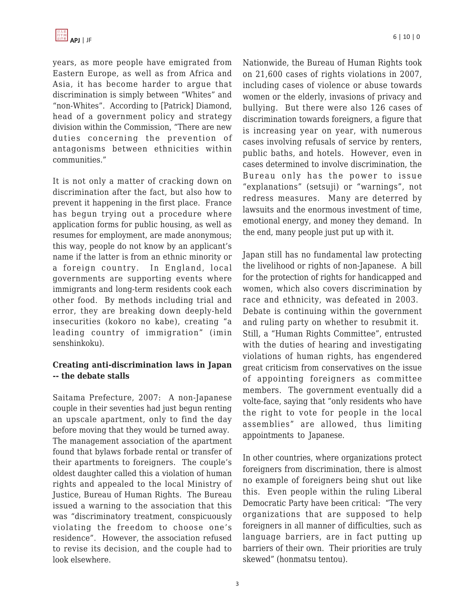years, as more people have emigrated from Eastern Europe, as well as from Africa and Asia, it has become harder to argue that discrimination is simply between "Whites" and "non-Whites". According to [Patrick] Diamond, head of a government policy and strategy division within the Commission, "There are new duties concerning the prevention of antagonisms between ethnicities within communities."

It is not only a matter of cracking down on discrimination after the fact, but also how to prevent it happening in the first place. France has begun trying out a procedure where application forms for public housing, as well as resumes for employment, are made anonymous; this way, people do not know by an applicant's name if the latter is from an ethnic minority or a foreign country. In England, local governments are supporting events where immigrants and long-term residents cook each other food. By methods including trial and error, they are breaking down deeply-held insecurities (kokoro no kabe), creating "a leading country of immigration" (imin senshinkoku).

### **Creating anti-discrimination laws in Japan -- the debate stalls**

Saitama Prefecture, 2007: A non-Japanese couple in their seventies had just begun renting an upscale apartment, only to find the day before moving that they would be turned away. The management association of the apartment found that bylaws forbade rental or transfer of their apartments to foreigners. The couple's oldest daughter called this a violation of human rights and appealed to the local Ministry of Justice, Bureau of Human Rights. The Bureau issued a warning to the association that this was "discriminatory treatment, conspicuously violating the freedom to choose one's residence". However, the association refused to revise its decision, and the couple had to look elsewhere.

Nationwide, the Bureau of Human Rights took on 21,600 cases of rights violations in 2007, including cases of violence or abuse towards women or the elderly, invasions of privacy and bullying. But there were also 126 cases of discrimination towards foreigners, a figure that is increasing year on year, with numerous cases involving refusals of service by renters, public baths, and hotels. However, even in cases determined to involve discrimination, the Bureau only has the power to issue "explanations" (setsuji) or "warnings", not redress measures. Many are deterred by lawsuits and the enormous investment of time, emotional energy, and money they demand. In the end, many people just put up with it.

Japan still has no fundamental law protecting the livelihood or rights of non-Japanese. A bill for the protection of rights for handicapped and women, which also covers discrimination by race and ethnicity, was defeated in 2003. Debate is continuing within the government and ruling party on whether to resubmit it. Still, a "Human Rights Committee", entrusted with the duties of hearing and investigating violations of human rights, has engendered great criticism from conservatives on the issue of appointing foreigners as committee members. The government eventually did a volte-face, saying that "only residents who have the right to vote for people in the local assemblies" are allowed, thus limiting appointments to Japanese.

In other countries, where organizations protect foreigners from discrimination, there is almost no example of foreigners being shut out like this. Even people within the ruling Liberal Democratic Party have been critical: "The very organizations that are supposed to help foreigners in all manner of difficulties, such as language barriers, are in fact putting up barriers of their own. Their priorities are truly skewed" (honmatsu tentou).